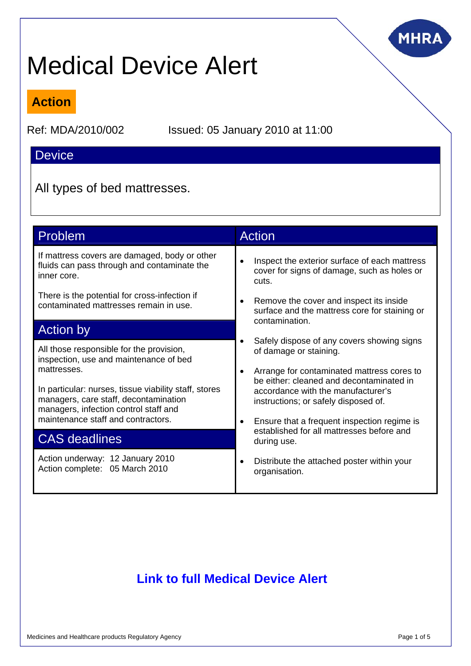

# Medical Device Alert

### **Action**

Ref: MDA/2010/002 Issued: 05 January 2010 at 11:00

### **Device**

All types of bed mattresses.

| Problem                                                                                                                                 | <b>Action</b>                                                                                                           |
|-----------------------------------------------------------------------------------------------------------------------------------------|-------------------------------------------------------------------------------------------------------------------------|
| If mattress covers are damaged, body or other<br>fluids can pass through and contaminate the<br>inner core.                             | Inspect the exterior surface of each mattress<br>cover for signs of damage, such as holes or<br>cuts.                   |
| There is the potential for cross-infection if<br>contaminated mattresses remain in use.                                                 | Remove the cover and inspect its inside<br>$\bullet$<br>surface and the mattress core for staining or<br>contamination. |
| <b>Action by</b>                                                                                                                        |                                                                                                                         |
| All those responsible for the provision,<br>inspection, use and maintenance of bed                                                      | Safely dispose of any covers showing signs<br>$\bullet$<br>of damage or staining.                                       |
| mattresses.                                                                                                                             | Arrange for contaminated mattress cores to<br>$\bullet$<br>be either: cleaned and decontaminated in                     |
| In particular: nurses, tissue viability staff, stores<br>managers, care staff, decontamination<br>managers, infection control staff and | accordance with the manufacturer's<br>instructions; or safely disposed of.                                              |
| maintenance staff and contractors.                                                                                                      | Ensure that a frequent inspection regime is<br>$\bullet$                                                                |
| <b>CAS deadlines</b>                                                                                                                    | established for all mattresses before and<br>during use.                                                                |
| Action underway: 12 January 2010<br>Action complete: 05 March 2010                                                                      | Distribute the attached poster within your<br>organisation.                                                             |

## **[Link to full Medical Device Alert](http://www.mhra.gov.uk/Publications/Safetywarnings/MedicalDeviceAlerts/CON065783)**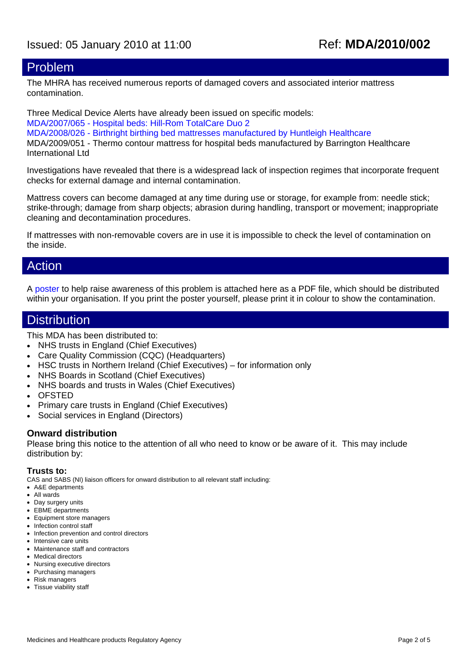### Problem

The MHRA has received numerous reports of damaged covers and associated interior mattress contamination.

Three Medical Device Alerts have already been issued on specific models: [MDA/2007/065 - Hospital beds: Hill-Rom TotalCare Duo 2](http://www.mhra.gov.uk/Publications/Safetywarnings/MedicalDeviceAlerts/CON2032088) [MDA/2008/026 - Birthright birthing bed mattresses manufactured by Huntleigh Healthcare](http://www.mhra.gov.uk/Publications/Safetywarnings/MedicalDeviceAlerts/CON014736) MDA/2009/051 - Thermo contour mattress for hospital beds manufactured by Barrington Healthcare International Ltd

Investigations have revealed that there is a widespread lack of inspection regimes that incorporate frequent checks for external damage and internal contamination.

Mattress covers can become damaged at any time during use or storage, for example from: needle stick; strike-through; damage from sharp objects; abrasion during handling, transport or movement; inappropriate cleaning and decontamination procedures.

If mattresses with non-removable covers are in use it is impossible to check the level of contamination on the inside.

### Action

A [poster](http://www.mhra.gov.uk/Publications/Postersandleaflets/CON065695) to help raise awareness of this problem is attached here as a PDF file, which should be distributed within your organisation. If you print the poster yourself, please print it in colour to show the contamination.

### **Distribution**

This MDA has been distributed to:

- NHS trusts in England (Chief Executives)
- Care Quality Commission (CQC) (Headquarters)
- HSC trusts in Northern Ireland (Chief Executives) for information only
- NHS Boards in Scotland (Chief Executives)
- NHS boards and trusts in Wales (Chief Executives)
- OFSTED
- Primary care trusts in England (Chief Executives)
- Social services in England (Directors)

#### **Onward distribution**

Please bring this notice to the attention of all who need to know or be aware of it. This may include distribution by:

#### **Trusts to:**

CAS and SABS (NI) liaison officers for onward distribution to all relevant staff including:

- A&E departments
- All wards
- Day surgery units
- EBME departments
- Equipment store managers
- Infection control staff
- Infection prevention and control directors • Intensive care units
- Maintenance staff and contractors
- Medical directors
- Nursing executive directors
- Purchasing managers
- Risk managers
- Tissue viability staff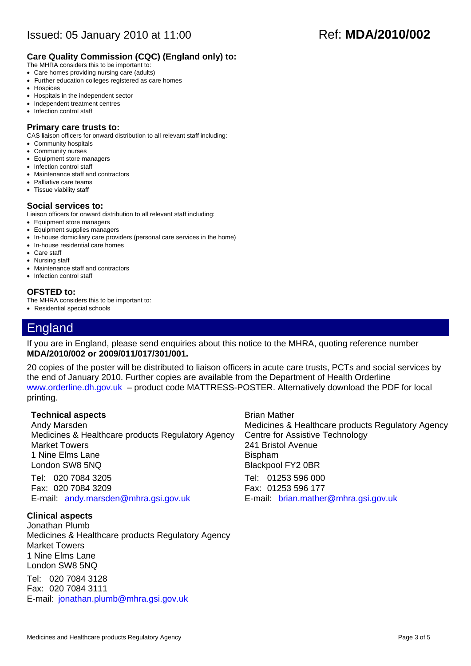#### **Care Quality Commission (CQC) (England only) to:**

- The MHRA considers this to be important to:
- Care homes providing nursing care (adults)
- Further education colleges registered as care homes
- Hospices
- Hospitals in the independent sector • Independent treatment centres
- Infection control staff

#### **Primary care trusts to:**

CAS liaison officers for onward distribution to all relevant staff including:

- Community hospitals
- Community nurses
- Equipment store managers
- Infection control staff
- Maintenance staff and contractors
- Palliative care teams
- Tissue viability staff

#### **Social services to:**

Liaison officers for onward distribution to all relevant staff including:

- Equipment store managers
- Equipment supplies managers
- In-house domiciliary care providers (personal care services in the home)
- In-house residential care homes
- Care staff
- Nursing staff
- Maintenance staff and contractors
- Infection control staff

#### **OFSTED to:**

The MHRA considers this to be important to:

• Residential special schools

### England

If you are in England, please send enquiries about this notice to the MHRA, quoting reference number **MDA/2010/002 or 2009/011/017/301/001.** 

20 copies of the poster will be distributed to liaison officers in acute care trusts, PCTs and social services by the end of January 2010. Further copies are available from the Department of Health Orderline [www.orderline.dh.gov.uk](http://www.orderline.dh.gov.uk/) – product code MATTRESS-POSTER. Alternatively download the PDF for local printing.

#### **Technical aspects**

Andy Marsden Medicines & Healthcare products Regulatory Agency Market Towers 1 Nine Elms Lane London SW8 5NQ

Tel: 020 7084 3205 Fax: 020 7084 3209 E-mail: [andy.marsden@mhra.gsi.gov.uk](mailto:andy.marsden@mhra.gsi.gov.uk)

#### **Clinical aspects**

Jonathan Plumb Medicines & Healthcare products Regulatory Agency Market Towers 1 Nine Elms Lane London SW8 5NQ

Tel: 020 7084 3128 Fax: 020 7084 3111 E-mail: [jonathan.plumb@mhra.gsi.gov.uk](mailto:jonathan.plumb@mhra.gsi.gov.uk)

Brian Mather Medicines & Healthcare products Regulatory Agency Centre for Assistive Technology 241 Bristol Avenue Bispham Blackpool FY2 0BR

Tel: 01253 596 000 Fax: 01253 596 177 E-mail: [brian.mather@mhra.gsi.gov.uk](mailto:brian.mather@mhra.gsi.gov.uk)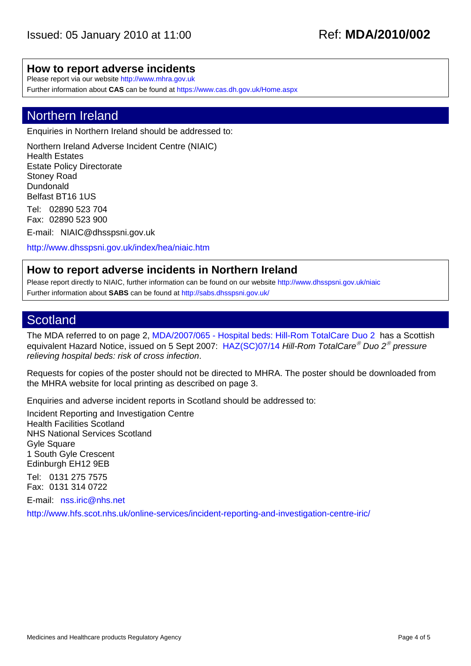#### **How to report adverse incidents**

Please report via our website [http://www.mhra.gov.uk](http://www.mhra.gov.uk/)

Further information about **CAS** can be found at <https://www.cas.dh.gov.uk/Home.aspx>

### Northern Ireland

Enquiries in Northern Ireland should be addressed to:

Northern Ireland Adverse Incident Centre (NIAIC) Health Estates Estate Policy Directorate Stoney Road Dundonald Belfast BT16 1US

Tel: 02890 523 704 Fax: 02890 523 900

E-mail: [NIAIC@dhsspsni.gov.uk](mailto:NIAIC@dhsspsni.gov.uk)

<http://www.dhsspsni.gov.uk/index/hea/niaic.htm>

### **How to report adverse incidents in Northern Ireland**

Please report directly to NIAIC, further information can be found on our website<http://www.dhsspsni.gov.uk/niaic> Further information about **SABS** can be found at <http://sabs.dhsspsni.gov.uk/>

### **Scotland**

The MDA referred to on page 2, [MDA/2007/065 - Hospital beds: Hill-Rom TotalCare Duo 2](http://www.mhra.gov.uk/Publications/Safetywarnings/MedicalDeviceAlerts/CON2032088) has a Scottish equivalent Hazard Notice, issued on 5 Sept 2007: [HAZ\(SC\)07/14](http://www.hfs.scot.nhs.uk/publications/PHAZ0714.pdf) *Hill-Rom TotalCare*® *Duo 2*® *pressure relieving hospital beds: risk of cross infection*.

Requests for copies of the poster should not be directed to MHRA. The poster should be downloaded from the MHRA website for local printing as described on page 3.

Enquiries and adverse incident reports in Scotland should be addressed to:

Incident Reporting and Investigation Centre Health Facilities Scotland NHS National Services Scotland Gyle Square 1 South Gyle Crescent Edinburgh EH12 9EB

Tel: 0131 275 7575 Fax: 0131 314 0722

E-mail: [nss.iric@nhs.net](mailto:nss.iric@nhs.net)

<http://www.hfs.scot.nhs.uk/online-services/incident-reporting-and-investigation-centre-iric/>